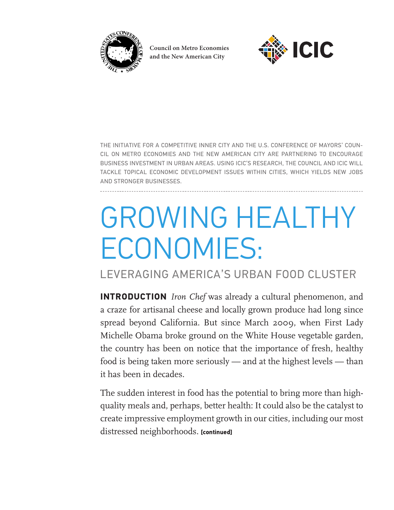

**Council on Metro Economies and the New American City**



THE INITIATIVE FOR A COMPETITIVE INNER CITY AND THE U.S. CONFERENCE OF MAYORS' COUN-CIL ON METRO ECONOMIES AND THE NEW AMERICAN CITY ARE PARTNERING TO ENCOURAGE BUSINESS INVESTMENT IN URBAN AREAS. USING ICIC'S RESEARCH, THE COUNCIL AND ICIC WILL TACKLE TOPICAL ECONOMIC DEVELOPMENT ISSUES WITHIN CITIES, WHICH YIELDS NEW JOBS AND STRONGER BUSINESSES.

# GROWING HEALTHY ECONOMIES:

LEVERAGING AMERICA'S URBAN FOOD CLUSTER

**INTRODUCTION** *Iron Chef* was already a cultural phenomenon, and a craze for artisanal cheese and locally grown produce had long since spread beyond California. But since March 2009, when First Lady Michelle Obama broke ground on the White House vegetable garden, the country has been on notice that the importance of fresh, healthy food is being taken more seriously — and at the highest levels — than it has been in decades.

The sudden interest in food has the potential to bring more than highquality meals and, perhaps, better health: It could also be the catalyst to create impressive employment growth in our cities, including our most distressed neighborhoods. **[continued]**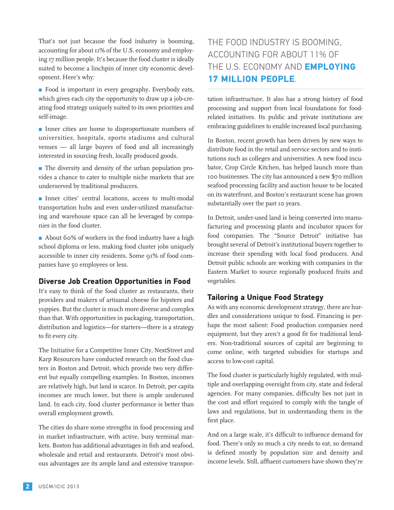That's not just because the food industry is booming, accounting for about 11% of the U.S. economy and employing 17 million people. It's because the food cluster is ideally suited to become a linchpin of inner city economic development. Here's why:

 $\blacksquare$  Food is important in every geography. Everybody eats, which gives each city the opportunity to draw up a job-creating food strategy uniquely suited to its own priorities and self-image.

**IF** Inner cities are home to disproportionate numbers of universities, hospitals, sports stadiums and cultural venues — all large buyers of food and all increasingly interested in sourcing fresh, locally produced goods.

 $\blacksquare$  The diversity and density of the urban population provides a chance to cater to multiple niche markets that are underserved by traditional producers.

 $\blacksquare$  Inner cities' central locations, access to multi-modal transportation hubs and even under-utilized manufacturing and warehouse space can all be leveraged by companies in the food cluster.

**• About 60% of workers in the food industry have a high** school diploma or less, making food cluster jobs uniquely accessible to inner city residents. Some 91% of food companies have 50 employees or less.

## **Diverse Job Creation Opportunities in Food**

It's easy to think of the food cluster as restaurants, their providers and makers of artisanal cheese for hipsters and yuppies. But the cluster is much more diverse and complex than that. With opportunities in packaging, transportation, distribution and logistics—for starters—there is a strategy to fit every city.

The Initiative for a Competitive Inner City, NextStreet and Karp Resources have conducted research on the food clusters in Boston and Detroit, which provide two very different but equally compelling examples. In Boston, incomes are relatively high, but land is scarce. In Detroit, per capita incomes are much lower, but there is ample underused land. In each city, food cluster performance is better than overall employment growth.

The cities do share some strengths in food processing and in market infrastructure, with active, busy terminal markets. Boston has additional advantages in fish and seafood, wholesale and retail and restaurants. Detroit's most obvious advantages are its ample land and extensive transpor-

## THE FOOD INDUSTRY IS BOOMING, ACCOUNTING FOR ABOUT 11% OF THE U.S. ECONOMY AND **EMPLOYING 17 MILLION PEOPLE**.

tation infrastructure. It also has a strong history of food processing and support from local foundations for foodrelated initiatives. Its public and private institutions are embracing guidelines to enable increased local purchasing.

In Boston, recent growth has been driven by new ways to distribute food in the retail and service sectors and to institutions such as colleges and universities. A new food incubator, Crop Circle Kitchen, has helped launch more than 100 businesses. The city has announced a new \$70 million seafood processing facility and auction house to be located on its waterfront, and Boston's restaurant scene has grown substantially over the past 10 years.

In Detroit, under-used land is being converted into manufacturing and processing plants and incubator spaces for food companies. The "Source Detroit" initiative has brought several of Detroit's institutional buyers together to increase their spending with local food producers. And Detroit public schools are working with companies in the Eastern Market to source regionally produced fruits and vegetables.

## **Tailoring a Unique Food Strategy**

As with any economic development strategy, there are hurdles and considerations unique to food. Financing is perhaps the most salient: Food production companies need equipment, but they aren't a good fit for traditional lenders. Non-traditional sources of capital are beginning to come online, with targeted subsidies for startups and access to low-cost capital.

The food cluster is particularly highly regulated, with multiple and overlapping oversight from city, state and federal agencies. For many companies, difficulty lies not just in the cost and effort required to comply with the tangle of laws and regulations, but in understanding them in the first place.

And on a large scale, it's difficult to influence demand for food. There's only so much a city needs to eat, so demand is defined mostly by population size and density and income levels. Still, affluent customers have shown they're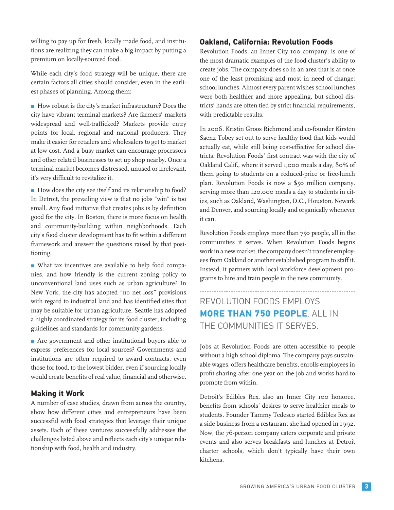willing to pay up for fresh, locally made food, and institutions are realizing they can make a big impact by putting a premium on locally-sourced food.

While each city's food strategy will be unique, there are certain factors all cities should consider, even in the earliest phases of planning. Among them:

How robust is the city's market infrastructure? Does the city have vibrant terminal markets? Are farmers' markets widespread and well-trafficked? Markets provide entry points for local, regional and national producers. They make it easier for retailers and wholesalers to get to market at low cost. And a busy market can encourage processors and other related businesses to set up shop nearby. Once a terminal market becomes distressed, unused or irrelevant, it's very difficult to revitalize it.

How does the city see itself and its relationship to food? In Detroit, the prevailing view is that no jobs "win" is too small. Any food initiative that creates jobs is by definition good for the city. In Boston, there is more focus on health and community-building within neighborhoods. Each city's food cluster development has to fit within a different framework and answer the questions raised by that positioning.

 $\blacksquare$  What tax incentives are available to help food companies, and how friendly is the current zoning policy to unconventional land uses such as urban agriculture? In New York, the city has adopted "no net loss" provisions with regard to industrial land and has identified sites that may be suitable for urban agriculture. Seattle has adopted a highly coordinated strategy for its food cluster, including guidelines and standards for community gardens.

**•** Are government and other institutional buyers able to express preferences for local sources? Governments and institutions are often required to award contracts, even those for food, to the lowest bidder, even if sourcing locally would create benefits of real value, financial and otherwise.

### **Making it Work**

A number of case studies, drawn from across the country, show how different cities and entrepreneurs have been successful with food strategies that leverage their unique assets. Each of these ventures successfully addresses the challenges listed above and reflects each city's unique relationship with food, health and industry.

## **Oakland, California: Revolution Foods**

Revolution Foods, an Inner City 100 company, is one of the most dramatic examples of the food cluster's ability to create jobs. The company does so in an area that is at once one of the least promising and most in need of change: school lunches. Almost every parent wishes school lunches were both healthier and more appealing, but school districts' hands are often tied by strict financial requirements, with predictable results.

In 2006, Kristin Groos Richmond and co-founder Kirsten Saenz Tobey set out to serve healthy food that kids would actually eat, while still being cost-effective for school districts. Revolution Foods' first contract was with the city of Oakland Calif., where it served 1,000 meals a day, 80% of them going to students on a reduced-price or free-lunch plan. Revolution Foods is now a \$50 million company, serving more than 120,000 meals a day to students in cities, such as Oakland, Washington, D.C., Houston, Newark and Denver, and sourcing locally and organically whenever it can.

Revolution Foods employs more than 750 people, all in the communities it serves. When Revolution Foods begins work in a new market, the company doesn't transfer employees from Oakland or another established program to staff it. Instead, it partners with local workforce development programs to hire and train people in the new community.

# REVOLUTION FOODS EMPLOYS **MORE THAN 750 PEOPLE**, ALL IN THE COMMUNITIES IT SERVES.

Jobs at Revolution Foods are often accessible to people without a high school diploma. The company pays sustainable wages, offers healthcare benefits, enrolls employees in profit-sharing after one year on the job and works hard to promote from within.

Detroit's Edibles Rex, also an Inner City 100 honoree, benefits from schools' desires to serve healthier meals to students. Founder Tammy Tedesco started Edibles Rex as a side business from a restaurant she had opened in 1992. Now, the 76-person company caters corporate and private events and also serves breakfasts and lunches at Detroit charter schools, which don't typically have their own kitchens.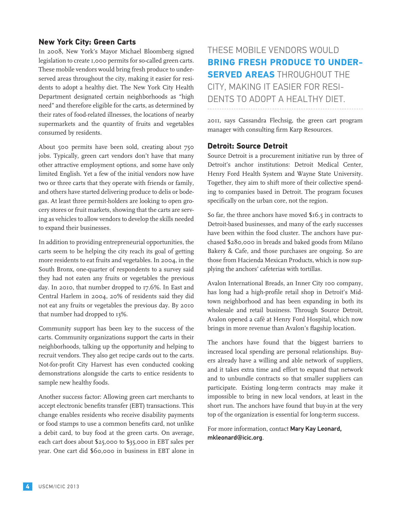## **New York City: Green Carts**

In 2008, New York's Mayor Michael Bloomberg signed legislation to create 1,000 permits for so-called green carts. These mobile vendors would bring fresh produce to underserved areas throughout the city, making it easier for residents to adopt a healthy diet. The New York City Health Department designated certain neighborhoods as "high need" and therefore eligible for the carts, as determined by their rates of food-related illnesses, the locations of nearby supermarkets and the quantity of fruits and vegetables consumed by residents.

About 500 permits have been sold, creating about 750 jobs. Typically, green cart vendors don't have that many other attractive employment options, and some have only limited English. Yet a few of the initial vendors now have two or three carts that they operate with friends or family, and others have started delivering produce to delis or bodegas. At least three permit-holders are looking to open grocery stores or fruit markets, showing that the carts are serving as vehicles to allow vendors to develop the skills needed to expand their businesses.

In addition to providing entrepreneurial opportunities, the carts seem to be helping the city reach its goal of getting more residents to eat fruits and vegetables. In 2004, in the South Bronx, one-quarter of respondents to a survey said they had not eaten any fruits or vegetables the previous day. In 2010, that number dropped to 17.6%. In East and Central Harlem in 2004, 20% of residents said they did not eat any fruits or vegetables the previous day. By 2010 that number had dropped to 13%.

Community support has been key to the success of the carts. Community organizations support the carts in their neighborhoods, talking up the opportunity and helping to recruit vendors. They also get recipe cards out to the carts. Not-for-profit City Harvest has even conducted cooking demonstrations alongside the carts to entice residents to sample new healthy foods.

Another success factor: Allowing green cart merchants to accept electronic benefits transfer (EBT) transactions. This change enables residents who receive disability payments or food stamps to use a common benefits card, not unlike a debit card, to buy food at the green carts. On average, each cart does about \$25,000 to \$35,000 in EBT sales per year. One cart did \$60,000 in business in EBT alone in

THESE MOBILE VENDORS WOULD **BRING FRESH PRODUCE TO UNDER-SERVED AREAS** THROUGHOUT THE CITY, MAKING IT EASIER FOR RESI-DENTS TO ADOPT A HEALTHY DIET.

2011, says Cassandra Flechsig, the green cart program manager with consulting firm Karp Resources.

## **Detroit: Source Detroit**

Source Detroit is a procurement initiative run by three of Detroit's anchor institutions: Detroit Medical Center, Henry Ford Health System and Wayne State University. Together, they aim to shift more of their collective spending to companies based in Detroit. The program focuses specifically on the urban core, not the region.

So far, the three anchors have moved \$16.5 in contracts to Detroit-based businesses, and many of the early successes have been within the food cluster. The anchors have purchased \$280,000 in breads and baked goods from Milano Bakery & Cafe, and those purchases are ongoing. So are those from Hacienda Mexican Products, which is now supplying the anchors' cafeterias with tortillas.

Avalon International Breads, an Inner City 100 company, has long had a high-profile retail shop in Detroit's Midtown neighborhood and has been expanding in both its wholesale and retail business. Through Source Detroit, Avalon opened a café at Henry Ford Hospital, which now brings in more revenue than Avalon's flagship location.

The anchors have found that the biggest barriers to increased local spending are personal relationships. Buyers already have a willing and able network of suppliers, and it takes extra time and effort to expand that network and to unbundle contracts so that smaller suppliers can participate. Existing long-term contracts may make it impossible to bring in new local vendors, at least in the short run. The anchors have found that buy-in at the very top of the organization is essential for long-term success.

For more information, contact Mary Kay Leonard, mkleonard@icic.org.